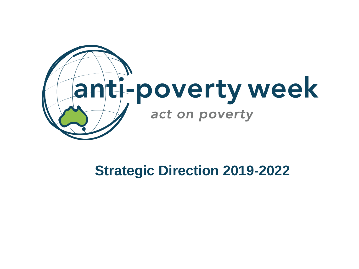

### **Strategic Direction 2019-2022**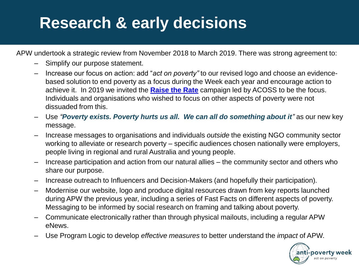## **Research & early decisions**

APW undertook a strategic review from November 2018 to March 2019. There was strong agreement to:

- Simplify our purpose statement.
- Increase our focus on action: add "*act on poverty"* to our revised logo and choose an evidencebased solution to end poverty as a focus during the Week each year and encourage action to achieve it. In 2019 we invited the **[Raise the Rate](https://raisetherate.org.au/)** campaign led by ACOSS to be the focus. Individuals and organisations who wished to focus on other aspects of poverty were not dissuaded from this.
- Use *"Poverty exists. Poverty hurts us all. We can all do something about it"* as our new key message.
- Increase messages to organisations and individuals *outside* the existing NGO community sector working to alleviate or research poverty – specific audiences chosen nationally were employers, people living in regional and rural Australia and young people.
- Increase participation and action from our natural allies the community sector and others who share our purpose.
- Increase outreach to Influencers and Decision-Makers (and hopefully their participation).
- Modernise our website, logo and produce digital resources drawn from key reports launched during APW the previous year, including a series of Fast Facts on different aspects of poverty. Messaging to be informed by social research on framing and talking about poverty.
- Communicate electronically rather than through physical mailouts, including a regular APW eNews.
- Use Program Logic to develop *effective measures* to better understand the *impact* of APW.

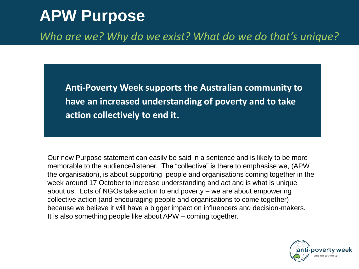### **APW Purpose**

*Who are we? Why do we exist? What do we do that's unique?* 

**Anti-Poverty Week supports the Australian community to have an increased understanding of poverty and to take action collectively to end it.**

Our new Purpose statement can easily be said in a sentence and is likely to be more memorable to the audience/listener. The "collective" is there to emphasise we, (APW the organisation), is about supporting people and organisations coming together in the week around 17 October to increase understanding and act and is what is unique about us. Lots of NGOs take action to end poverty – we are about empowering collective action (and encouraging people and organisations to come together) because we believe it will have a bigger impact on influencers and decision-makers. It is also something people like about APW – coming together.

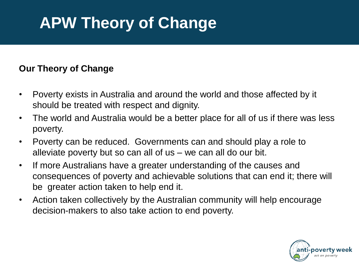# **APW Theory of Change**

#### **Our Theory of Change**

- Poverty exists in Australia and around the world and those affected by it should be treated with respect and dignity.
- The world and Australia would be a better place for all of us if there was less poverty.
- Poverty can be reduced. Governments can and should play a role to alleviate poverty but so can all of us – we can all do our bit.
- If more Australians have a greater understanding of the causes and consequences of poverty and achievable solutions that can end it; there will be greater action taken to help end it.
- Action taken collectively by the Australian community will help encourage decision-makers to also take action to end poverty.

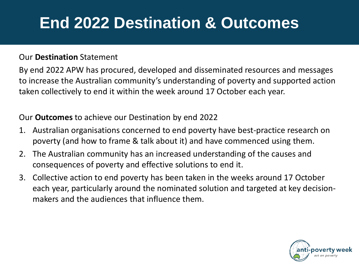## **End 2022 Destination & Outcomes**

#### Our **Destination** Statement

By end 2022 APW has procured, developed and disseminated resources and messages to increase the Australian community's understanding of poverty and supported action taken collectively to end it within the week around 17 October each year.

Our **Outcomes** to achieve our Destination by end 2022

- 1. Australian organisations concerned to end poverty have best-practice research on poverty (and how to frame & talk about it) and have commenced using them.
- 2. The Australian community has an increased understanding of the causes and consequences of poverty and effective solutions to end it.
- 3. Collective action to end poverty has been taken in the weeks around 17 October each year, particularly around the nominated solution and targeted at key decisionmakers and the audiences that influence them.